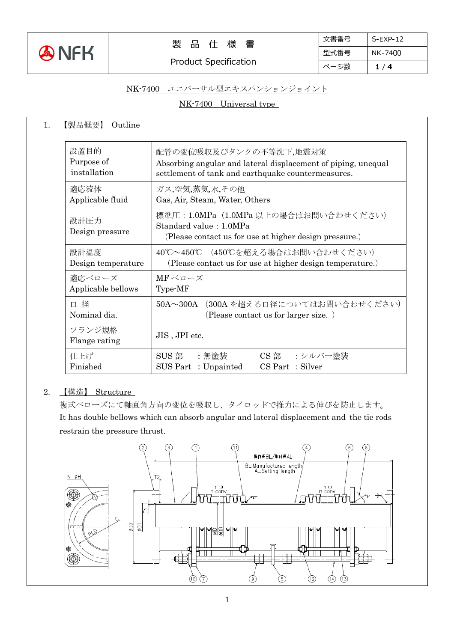

Product Specification

### NK-7400 ユニバーサル型エキスパンションジョイント

NK-7400 Universal type

| 設置目的<br>Purpose of<br>installation | 配管の変位吸収及びタンクの不等沈下,地震対策<br>Absorbing angular and lateral displacement of piping, unequal<br>settlement of tank and earthquake countermeasures.<br>ガス,空気,蒸気,水,その他<br>Gas, Air, Steam, Water, Others |  |  |
|------------------------------------|---------------------------------------------------------------------------------------------------------------------------------------------------------------------------------------------------|--|--|
| 適応流体<br>Applicable fluid           |                                                                                                                                                                                                   |  |  |
| 設計圧力<br>Design pressure            | 標準圧: 1.0MPa (1.0MPa 以上の場合はお問い合わせください)<br>Standard value: 1.0MPa<br>(Please contact us for use at higher design pressure.)                                                                         |  |  |
| 設計温度<br>Design temperature         | 40℃~450℃ (450℃を超える場合はお問い合わせください)<br>(Please contact us for use at higher design temperature.)                                                                                                     |  |  |
| 適応ベローズ<br>Applicable bellows       | MFベローズ<br>Type-MF                                                                                                                                                                                 |  |  |
| 径<br>$\Box$<br>Nominal dia.        | 50A~300A (300A を超える口径についてはお問い合わせください)<br>(Please contact us for larger size.)                                                                                                                     |  |  |
| フランジ規格<br>Flange rating            | JIS, JPI etc.                                                                                                                                                                                     |  |  |
| 仕上げ<br>Finished                    | SUS 部<br>:無塗装<br>CS 部<br>・シルバー途装<br>SUS Part: Unpainted<br>CS Part : Silver                                                                                                                       |  |  |

### 2. 【構造】 Structure

複式ベローズにて軸直角方向の変位を吸収し、タイロッドで推力による伸びを防止します。 It has double bellows which can absorb angular and lateral displacement and the tie rods restrain the pressure thrust.

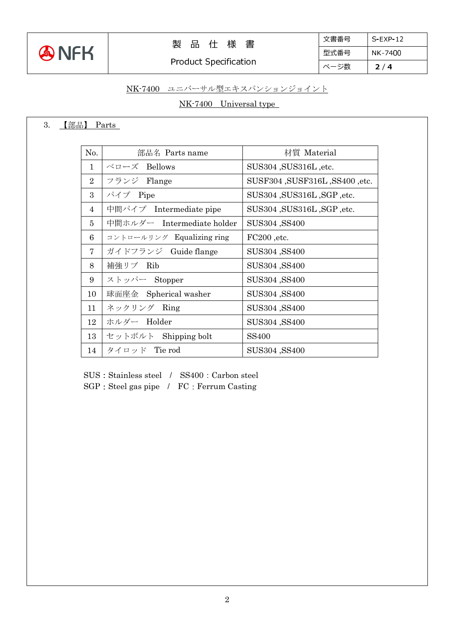

# 製 品 仕 様 書

Product Specification

| 文書番号 | $S$ FXP-12 |
|------|------------|
| 型式番号 | NK-7400    |
| ページ数 | 2/4        |

## NK-7400 ユニバーサル型エキスパンションジョイント

### NK-7400 Universal type

## 3. 【部品】 Parts

| No.            | 部品名 Parts name             | 材質 Material                    |
|----------------|----------------------------|--------------------------------|
| $\mathbf{1}$   | ベローズ Bellows               | SUS304, SUS316L, etc.          |
| $\overline{2}$ | フランジ Flange                | SUSF304, SUSF316L, SS400, etc. |
| 3              | パイプ Pipe                   | SUS304, SUS316L, SGP, etc.     |
| $\overline{4}$ | 中間パイプ Intermediate pipe    | SUS304, SUS316L, SGP, etc.     |
| 5              | 中間ホルダー Intermediate holder | SUS304, SS400                  |
| 6              | コントロールリング Equalizing ring  | FC200, etc.                    |
| 7              | ガイドフランジ Guide flange       | SUS304, SS400                  |
| 8              | 補強リブ Rib                   | SUS304, SS400                  |
| 9              | ストッパー Stopper              | SUS304, SS400                  |
| 10             | 球面座金 Spherical washer      | SUS304, SS400                  |
| 11             | ネックリング Ring                | SUS304, SS400                  |
| 12             | ホルダー Holder                | SUS304, SS400                  |
| 13             | セットボルト Shipping bolt       | <b>SS400</b>                   |
| 14             | タイロッド Tie rod              | SUS304, SS400                  |

SUS : Stainless steel / SS400 : Carbon steel

SGP: Steel gas pipe / FC: Ferrum Casting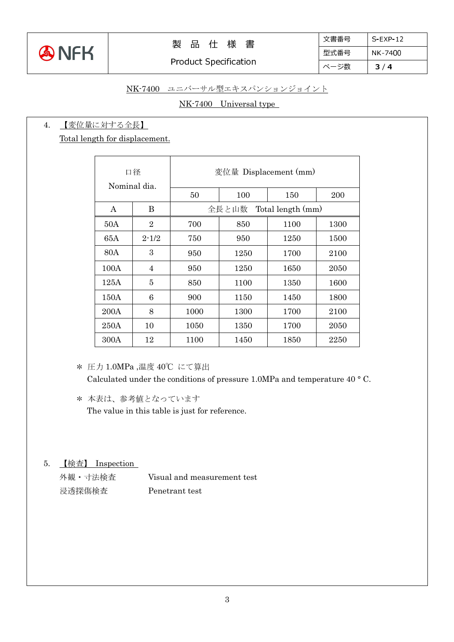

## 製 品 仕 様 書

## NK-7400 ユニバーサル型エキスパンションジョイント

## NK-7400 Universal type

#### 4. 【変位量に対する全長】

Total length for displacement.

| 口径<br>Nominal dia. |                | 変位量 Displacement (mm)      |      |      |      |
|--------------------|----------------|----------------------------|------|------|------|
|                    |                | 50                         | 100  | 150  | 200  |
| A                  | B              | 全長と山数<br>Total length (mm) |      |      |      |
| 50A                | $\overline{2}$ | 700                        | 850  | 1100 | 1300 |
| 65A                | $2 - 1/2$      | 750                        | 950  | 1250 | 1500 |
| 80A                | 3              | 950                        | 1250 | 1700 | 2100 |
| 100A               | $\overline{4}$ | 950                        | 1250 | 1650 | 2050 |
| 125A               | 5              | 850                        | 1100 | 1350 | 1600 |
| 150A               | 6              | 900                        | 1150 | 1450 | 1800 |
| 200A               | 8              | 1000                       | 1300 | 1700 | 2100 |
| 250A               | 10             | 1050                       | 1350 | 1700 | 2050 |
| 300A               | 12             | 1100                       | 1450 | 1850 | 2250 |

\* 圧力 1.0MPa ,温度 40℃ にて算出 Calculated under the conditions of pressure 1.0MPa and temperature 40 ° C.

\* 本表は、参考値となっています The value in this table is just for reference.

## 5. 【検査】 Inspection

外観・寸法検査 Visual and measurement test 浸透探傷検査 Penetrant test